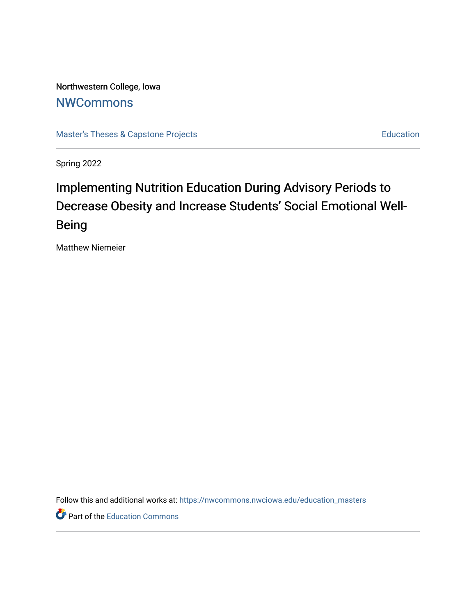Northwestern College, Iowa **[NWCommons](https://nwcommons.nwciowa.edu/)** 

[Master's Theses & Capstone Projects](https://nwcommons.nwciowa.edu/education_masters) **Education** Education

Spring 2022

# Implementing Nutrition Education During Advisory Periods to Decrease Obesity and Increase Students' Social Emotional Well-Being

Matthew Niemeier

Follow this and additional works at: [https://nwcommons.nwciowa.edu/education\\_masters](https://nwcommons.nwciowa.edu/education_masters?utm_source=nwcommons.nwciowa.edu%2Feducation_masters%2F398&utm_medium=PDF&utm_campaign=PDFCoverPages)

**P** Part of the [Education Commons](https://network.bepress.com/hgg/discipline/784?utm_source=nwcommons.nwciowa.edu%2Feducation_masters%2F398&utm_medium=PDF&utm_campaign=PDFCoverPages)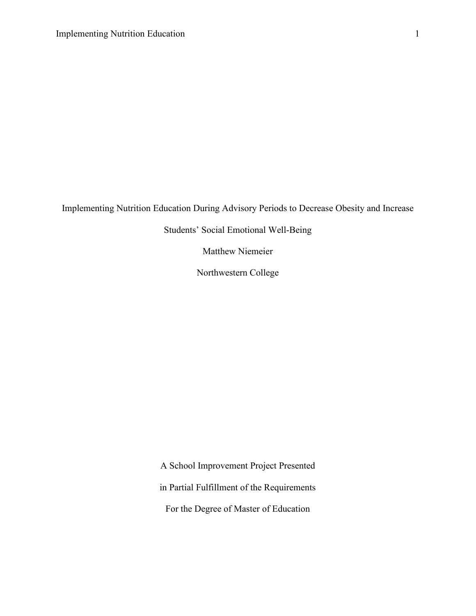Implementing Nutrition Education During Advisory Periods to Decrease Obesity and Increase

Students' Social Emotional Well-Being

Matthew Niemeier

Northwestern College

A School Improvement Project Presented

in Partial Fulfillment of the Requirements

For the Degree of Master of Education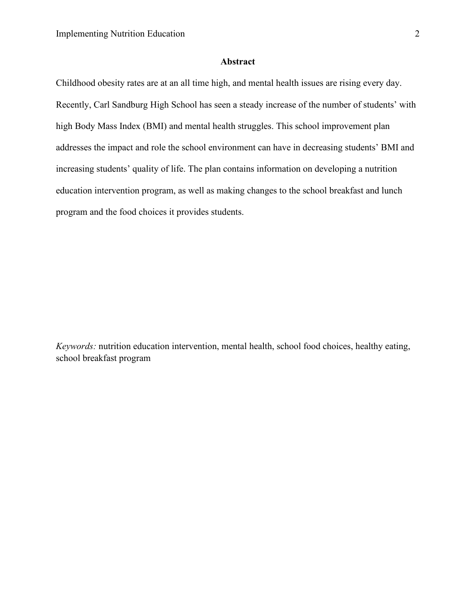#### **Abstract**

<span id="page-2-0"></span>Childhood obesity rates are at an all time high, and mental health issues are rising every day. Recently, Carl Sandburg High School has seen a steady increase of the number of students' with high Body Mass Index (BMI) and mental health struggles. This school improvement plan addresses the impact and role the school environment can have in decreasing students' BMI and increasing students' quality of life. The plan contains information on developing a nutrition education intervention program, as well as making changes to the school breakfast and lunch program and the food choices it provides students.

*Keywords:* nutrition education intervention, mental health, school food choices, healthy eating, school breakfast program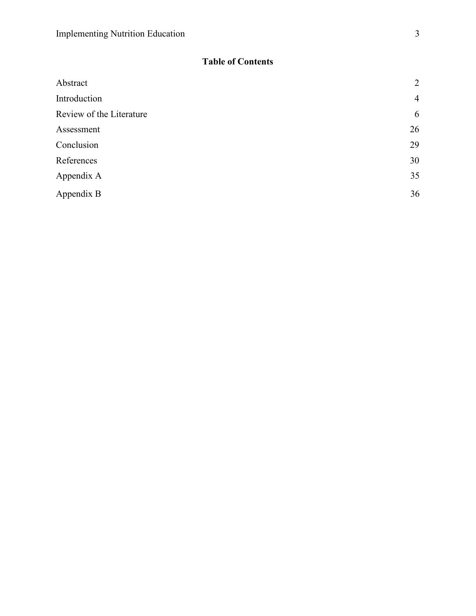### **Table of Contents**

| Abstract                 | $\overline{2}$ |
|--------------------------|----------------|
| Introduction             | $\overline{4}$ |
| Review of the Literature | 6              |
| Assessment               | 26             |
| Conclusion               | 29             |
| References               | 30             |
| Appendix A               | 35             |
| Appendix B               | 36             |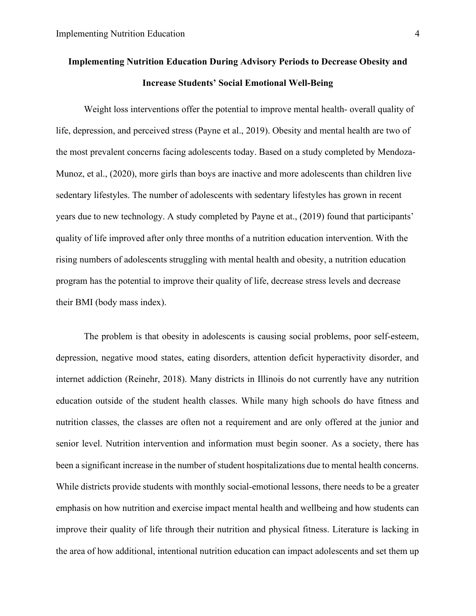## **Implementing Nutrition Education During Advisory Periods to Decrease Obesity and Increase Students' Social Emotional Well-Being**

 Weight loss interventions offer the potential to improve mental health- overall quality of life, depression, and perceived stress (Payne et al., 2019). Obesity and mental health are two of the most prevalent concerns facing adolescents today. Based on a study completed by Mendoza-Munoz, et al., (2020), more girls than boys are inactive and more adolescents than children live sedentary lifestyles. The number of adolescents with sedentary lifestyles has grown in recent years due to new technology. A study completed by Payne et at., (2019) found that participants' quality of life improved after only three months of a nutrition education intervention. With the rising numbers of adolescents struggling with mental health and obesity, a nutrition education program has the potential to improve their quality of life, decrease stress levels and decrease their BMI (body mass index).

 The problem is that obesity in adolescents is causing social problems, poor self-esteem, depression, negative mood states, eating disorders, attention deficit hyperactivity disorder, and internet addiction (Reinehr, 2018). Many districts in Illinois do not currently have any nutrition education outside of the student health classes. While many high schools do have fitness and nutrition classes, the classes are often not a requirement and are only offered at the junior and senior level. Nutrition intervention and information must begin sooner. As a society, there has been a significant increase in the number of student hospitalizations due to mental health concerns. While districts provide students with monthly social-emotional lessons, there needs to be a greater emphasis on how nutrition and exercise impact mental health and wellbeing and how students can improve their quality of life through their nutrition and physical fitness. Literature is lacking in the area of how additional, intentional nutrition education can impact adolescents and set them up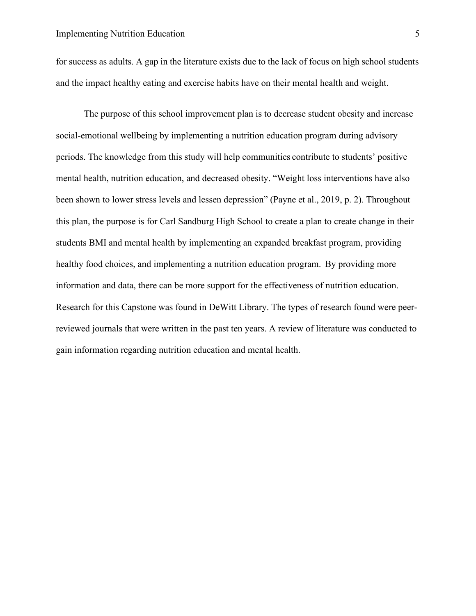for success as adults. A gap in the literature exists due to the lack of focus on high school students and the impact healthy eating and exercise habits have on their mental health and weight.

<span id="page-5-0"></span> The purpose of this school improvement plan is to decrease student obesity and increase social-emotional wellbeing by implementing a nutrition education program during advisory periods. The knowledge from this study will help communities contribute to students' positive mental health, nutrition education, and decreased obesity. "Weight loss interventions have also been shown to lower stress levels and lessen depression" (Payne et al., 2019, p. 2). Throughout this plan, the purpose is for Carl Sandburg High School to create a plan to create change in their students BMI and mental health by implementing an expanded breakfast program, providing healthy food choices, and implementing a nutrition education program. By providing more information and data, there can be more support for the effectiveness of nutrition education. Research for this Capstone was found in DeWitt Library. The types of research found were peerreviewed journals that were written in the past ten years. A review of literature was conducted to gain information regarding nutrition education and mental health.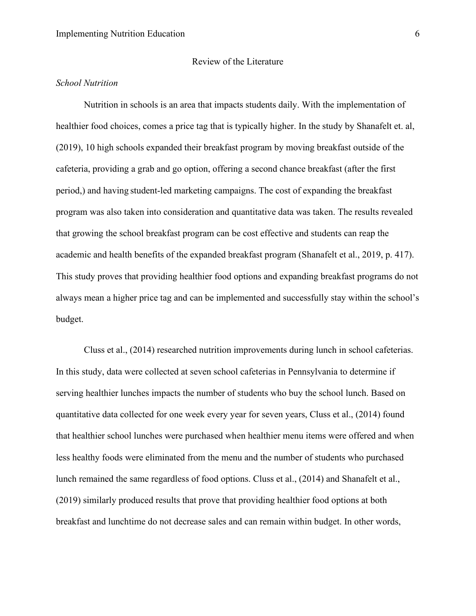#### *School Nutrition*

Nutrition in schools is an area that impacts students daily. With the implementation of healthier food choices, comes a price tag that is typically higher. In the study by Shanafelt et. al, (2019), 10 high schools expanded their breakfast program by moving breakfast outside of the cafeteria, providing a grab and go option, offering a second chance breakfast (after the first period,) and having student-led marketing campaigns. The cost of expanding the breakfast program was also taken into consideration and quantitative data was taken. The results revealed that growing the school breakfast program can be cost effective and students can reap the academic and health benefits of the expanded breakfast program (Shanafelt et al., 2019, p. 417). This study proves that providing healthier food options and expanding breakfast programs do not always mean a higher price tag and can be implemented and successfully stay within the school's budget.

Cluss et al., (2014) researched nutrition improvements during lunch in school cafeterias. In this study, data were collected at seven school cafeterias in Pennsylvania to determine if serving healthier lunches impacts the number of students who buy the school lunch. Based on quantitative data collected for one week every year for seven years, Cluss et al., (2014) found that healthier school lunches were purchased when healthier menu items were offered and when less healthy foods were eliminated from the menu and the number of students who purchased lunch remained the same regardless of food options. Cluss et al., (2014) and Shanafelt et al., (2019) similarly produced results that prove that providing healthier food options at both breakfast and lunchtime do not decrease sales and can remain within budget. In other words,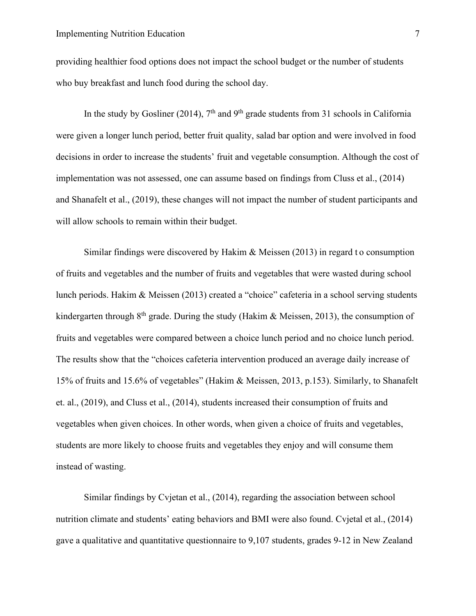providing healthier food options does not impact the school budget or the number of students who buy breakfast and lunch food during the school day.

In the study by Gosliner (2014),  $7<sup>th</sup>$  and  $9<sup>th</sup>$  grade students from 31 schools in California were given a longer lunch period, better fruit quality, salad bar option and were involved in food decisions in order to increase the students' fruit and vegetable consumption. Although the cost of implementation was not assessed, one can assume based on findings from Cluss et al., (2014) and Shanafelt et al., (2019), these changes will not impact the number of student participants and will allow schools to remain within their budget.

Similar findings were discovered by Hakim & Meissen (2013) in regard to consumption of fruits and vegetables and the number of fruits and vegetables that were wasted during school lunch periods. Hakim & Meissen (2013) created a "choice" cafeteria in a school serving students kindergarten through  $8<sup>th</sup>$  grade. During the study (Hakim & Meissen, 2013), the consumption of fruits and vegetables were compared between a choice lunch period and no choice lunch period. The results show that the "choices cafeteria intervention produced an average daily increase of 15% of fruits and 15.6% of vegetables" (Hakim & Meissen, 2013, p.153). Similarly, to Shanafelt et. al., (2019), and Cluss et al., (2014), students increased their consumption of fruits and vegetables when given choices. In other words, when given a choice of fruits and vegetables, students are more likely to choose fruits and vegetables they enjoy and will consume them instead of wasting.

Similar findings by Cvjetan et al., (2014), regarding the association between school nutrition climate and students' eating behaviors and BMI were also found. Cvjetal et al., (2014) gave a qualitative and quantitative questionnaire to 9,107 students, grades 9-12 in New Zealand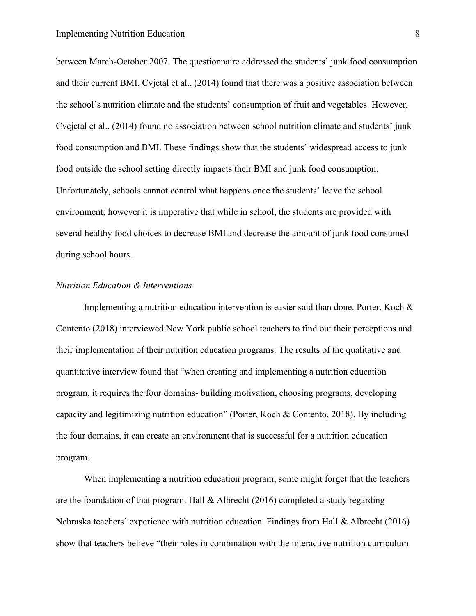between March-October 2007. The questionnaire addressed the students' junk food consumption and their current BMI. Cvjetal et al., (2014) found that there was a positive association between the school's nutrition climate and the students' consumption of fruit and vegetables. However, Cvejetal et al., (2014) found no association between school nutrition climate and students' junk food consumption and BMI. These findings show that the students' widespread access to junk food outside the school setting directly impacts their BMI and junk food consumption. Unfortunately, schools cannot control what happens once the students' leave the school environment; however it is imperative that while in school, the students are provided with several healthy food choices to decrease BMI and decrease the amount of junk food consumed during school hours.

#### *Nutrition Education & Interventions*

Implementing a nutrition education intervention is easier said than done. Porter, Koch & Contento (2018) interviewed New York public school teachers to find out their perceptions and their implementation of their nutrition education programs. The results of the qualitative and quantitative interview found that "when creating and implementing a nutrition education program, it requires the four domains- building motivation, choosing programs, developing capacity and legitimizing nutrition education" (Porter, Koch & Contento, 2018). By including the four domains, it can create an environment that is successful for a nutrition education program.

When implementing a nutrition education program, some might forget that the teachers are the foundation of that program. Hall & Albrecht (2016) completed a study regarding Nebraska teachers' experience with nutrition education. Findings from Hall & Albrecht (2016) show that teachers believe "their roles in combination with the interactive nutrition curriculum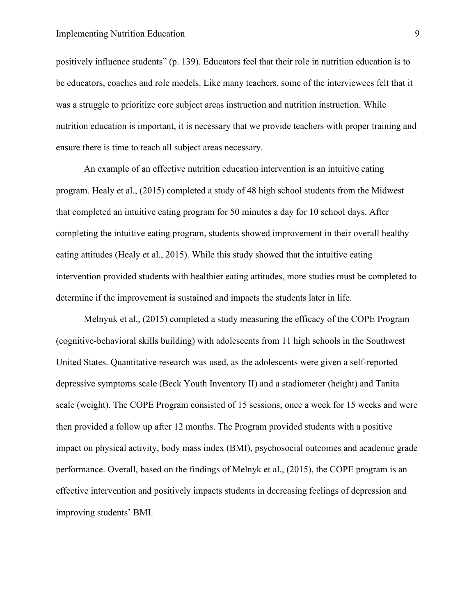#### Implementing Nutrition Education **9**

positively influence students" (p. 139). Educators feel that their role in nutrition education is to be educators, coaches and role models. Like many teachers, some of the interviewees felt that it was a struggle to prioritize core subject areas instruction and nutrition instruction. While nutrition education is important, it is necessary that we provide teachers with proper training and ensure there is time to teach all subject areas necessary.

An example of an effective nutrition education intervention is an intuitive eating program. Healy et al., (2015) completed a study of 48 high school students from the Midwest that completed an intuitive eating program for 50 minutes a day for 10 school days. After completing the intuitive eating program, students showed improvement in their overall healthy eating attitudes (Healy et al., 2015). While this study showed that the intuitive eating intervention provided students with healthier eating attitudes, more studies must be completed to determine if the improvement is sustained and impacts the students later in life.

Melnyuk et al., (2015) completed a study measuring the efficacy of the COPE Program (cognitive-behavioral skills building) with adolescents from 11 high schools in the Southwest United States. Quantitative research was used, as the adolescents were given a self-reported depressive symptoms scale (Beck Youth Inventory II) and a stadiometer (height) and Tanita scale (weight). The COPE Program consisted of 15 sessions, once a week for 15 weeks and were then provided a follow up after 12 months. The Program provided students with a positive impact on physical activity, body mass index (BMI), psychosocial outcomes and academic grade performance. Overall, based on the findings of Melnyk et al., (2015), the COPE program is an effective intervention and positively impacts students in decreasing feelings of depression and improving students' BMI.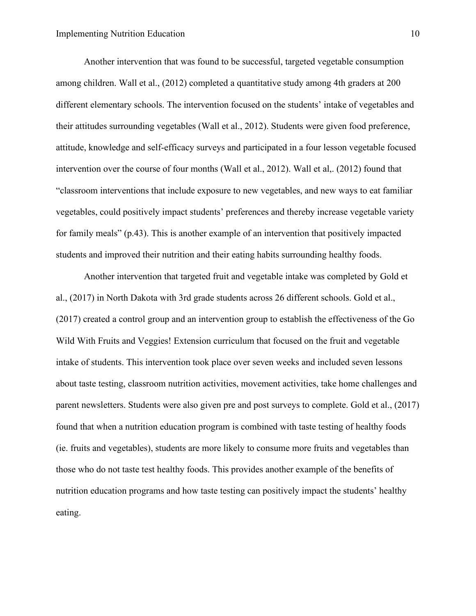Another intervention that was found to be successful, targeted vegetable consumption among children. Wall et al., (2012) completed a quantitative study among 4th graders at 200 different elementary schools. The intervention focused on the students' intake of vegetables and their attitudes surrounding vegetables (Wall et al., 2012). Students were given food preference, attitude, knowledge and self-efficacy surveys and participated in a four lesson vegetable focused intervention over the course of four months (Wall et al., 2012). Wall et al,. (2012) found that "classroom interventions that include exposure to new vegetables, and new ways to eat familiar vegetables, could positively impact students' preferences and thereby increase vegetable variety for family meals" (p.43). This is another example of an intervention that positively impacted students and improved their nutrition and their eating habits surrounding healthy foods.

Another intervention that targeted fruit and vegetable intake was completed by Gold et al., (2017) in North Dakota with 3rd grade students across 26 different schools. Gold et al., (2017) created a control group and an intervention group to establish the effectiveness of the Go Wild With Fruits and Veggies! Extension curriculum that focused on the fruit and vegetable intake of students. This intervention took place over seven weeks and included seven lessons about taste testing, classroom nutrition activities, movement activities, take home challenges and parent newsletters. Students were also given pre and post surveys to complete. Gold et al., (2017) found that when a nutrition education program is combined with taste testing of healthy foods (ie. fruits and vegetables), students are more likely to consume more fruits and vegetables than those who do not taste test healthy foods. This provides another example of the benefits of nutrition education programs and how taste testing can positively impact the students' healthy eating.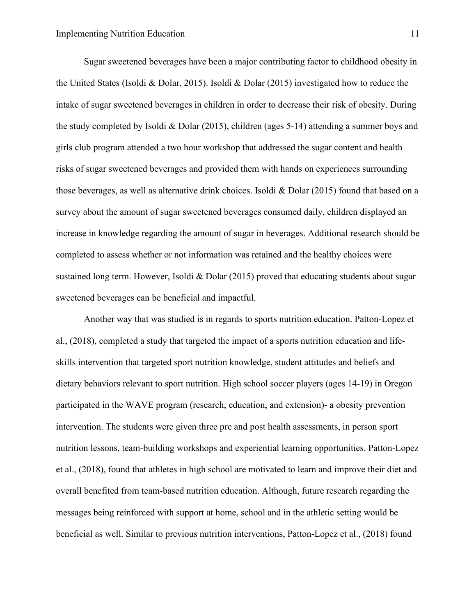Sugar sweetened beverages have been a major contributing factor to childhood obesity in the United States (Isoldi & Dolar, 2015). Isoldi & Dolar (2015) investigated how to reduce the intake of sugar sweetened beverages in children in order to decrease their risk of obesity. During the study completed by Isoldi & Dolar (2015), children (ages 5-14) attending a summer boys and girls club program attended a two hour workshop that addressed the sugar content and health risks of sugar sweetened beverages and provided them with hands on experiences surrounding those beverages, as well as alternative drink choices. Isoldi & Dolar (2015) found that based on a survey about the amount of sugar sweetened beverages consumed daily, children displayed an increase in knowledge regarding the amount of sugar in beverages. Additional research should be completed to assess whether or not information was retained and the healthy choices were sustained long term. However, Isoldi & Dolar (2015) proved that educating students about sugar sweetened beverages can be beneficial and impactful.

Another way that was studied is in regards to sports nutrition education. Patton-Lopez et al., (2018), completed a study that targeted the impact of a sports nutrition education and lifeskills intervention that targeted sport nutrition knowledge, student attitudes and beliefs and dietary behaviors relevant to sport nutrition. High school soccer players (ages 14-19) in Oregon participated in the WAVE program (research, education, and extension)- a obesity prevention intervention. The students were given three pre and post health assessments, in person sport nutrition lessons, team-building workshops and experiential learning opportunities. Patton-Lopez et al., (2018), found that athletes in high school are motivated to learn and improve their diet and overall benefited from team-based nutrition education. Although, future research regarding the messages being reinforced with support at home, school and in the athletic setting would be beneficial as well. Similar to previous nutrition interventions, Patton-Lopez et al., (2018) found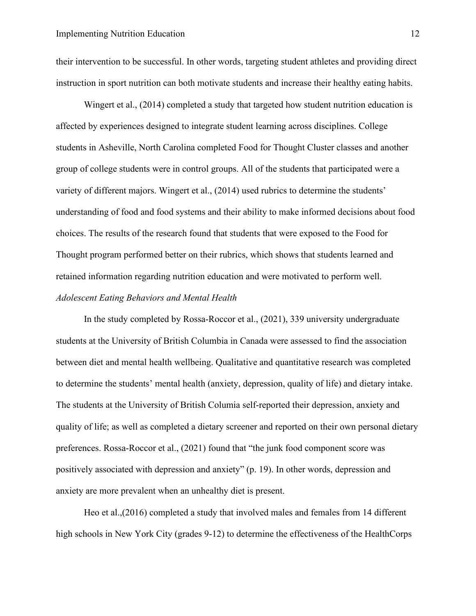their intervention to be successful. In other words, targeting student athletes and providing direct instruction in sport nutrition can both motivate students and increase their healthy eating habits.

Wingert et al., (2014) completed a study that targeted how student nutrition education is affected by experiences designed to integrate student learning across disciplines. College students in Asheville, North Carolina completed Food for Thought Cluster classes and another group of college students were in control groups. All of the students that participated were a variety of different majors. Wingert et al., (2014) used rubrics to determine the students' understanding of food and food systems and their ability to make informed decisions about food choices. The results of the research found that students that were exposed to the Food for Thought program performed better on their rubrics, which shows that students learned and retained information regarding nutrition education and were motivated to perform well. *Adolescent Eating Behaviors and Mental Health*

In the study completed by Rossa-Roccor et al., (2021), 339 university undergraduate students at the University of British Columbia in Canada were assessed to find the association between diet and mental health wellbeing. Qualitative and quantitative research was completed to determine the students' mental health (anxiety, depression, quality of life) and dietary intake. The students at the University of British Columia self-reported their depression, anxiety and quality of life; as well as completed a dietary screener and reported on their own personal dietary preferences. Rossa-Roccor et al., (2021) found that "the junk food component score was positively associated with depression and anxiety" (p. 19). In other words, depression and anxiety are more prevalent when an unhealthy diet is present.

Heo et al.,(2016) completed a study that involved males and females from 14 different high schools in New York City (grades 9-12) to determine the effectiveness of the HealthCorps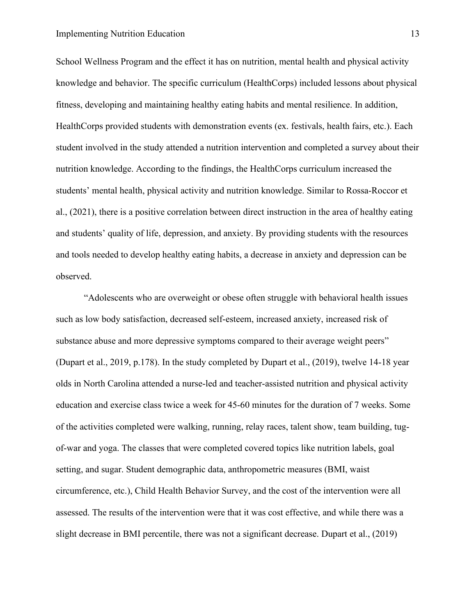#### Implementing Nutrition Education 13

School Wellness Program and the effect it has on nutrition, mental health and physical activity knowledge and behavior. The specific curriculum (HealthCorps) included lessons about physical fitness, developing and maintaining healthy eating habits and mental resilience. In addition, HealthCorps provided students with demonstration events (ex. festivals, health fairs, etc.). Each student involved in the study attended a nutrition intervention and completed a survey about their nutrition knowledge. According to the findings, the HealthCorps curriculum increased the students' mental health, physical activity and nutrition knowledge. Similar to Rossa-Roccor et al., (2021), there is a positive correlation between direct instruction in the area of healthy eating and students' quality of life, depression, and anxiety. By providing students with the resources and tools needed to develop healthy eating habits, a decrease in anxiety and depression can be observed.

"Adolescents who are overweight or obese often struggle with behavioral health issues such as low body satisfaction, decreased self-esteem, increased anxiety, increased risk of substance abuse and more depressive symptoms compared to their average weight peers" (Dupart et al., 2019, p.178). In the study completed by Dupart et al., (2019), twelve 14-18 year olds in North Carolina attended a nurse-led and teacher-assisted nutrition and physical activity education and exercise class twice a week for 45-60 minutes for the duration of 7 weeks. Some of the activities completed were walking, running, relay races, talent show, team building, tugof-war and yoga. The classes that were completed covered topics like nutrition labels, goal setting, and sugar. Student demographic data, anthropometric measures (BMI, waist circumference, etc.), Child Health Behavior Survey, and the cost of the intervention were all assessed. The results of the intervention were that it was cost effective, and while there was a slight decrease in BMI percentile, there was not a significant decrease. Dupart et al., (2019)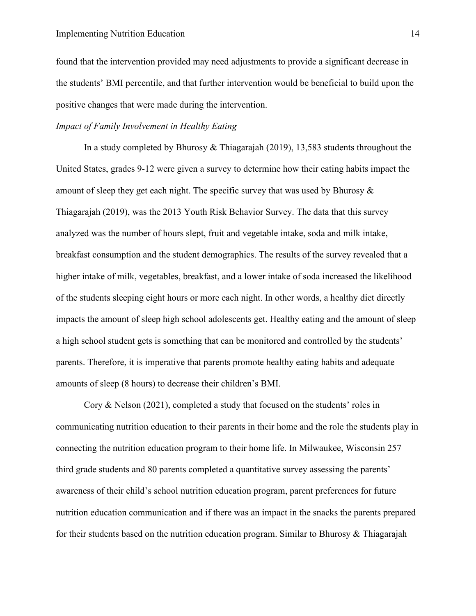found that the intervention provided may need adjustments to provide a significant decrease in the students' BMI percentile, and that further intervention would be beneficial to build upon the positive changes that were made during the intervention.

#### *Impact of Family Involvement in Healthy Eating*

In a study completed by Bhurosy & Thiagarajah (2019), 13,583 students throughout the United States, grades 9-12 were given a survey to determine how their eating habits impact the amount of sleep they get each night. The specific survey that was used by Bhurosy & Thiagarajah (2019), was the 2013 Youth Risk Behavior Survey. The data that this survey analyzed was the number of hours slept, fruit and vegetable intake, soda and milk intake, breakfast consumption and the student demographics. The results of the survey revealed that a higher intake of milk, vegetables, breakfast, and a lower intake of soda increased the likelihood of the students sleeping eight hours or more each night. In other words, a healthy diet directly impacts the amount of sleep high school adolescents get. Healthy eating and the amount of sleep a high school student gets is something that can be monitored and controlled by the students' parents. Therefore, it is imperative that parents promote healthy eating habits and adequate amounts of sleep (8 hours) to decrease their children's BMI.

Cory & Nelson (2021), completed a study that focused on the students' roles in communicating nutrition education to their parents in their home and the role the students play in connecting the nutrition education program to their home life. In Milwaukee, Wisconsin 257 third grade students and 80 parents completed a quantitative survey assessing the parents' awareness of their child's school nutrition education program, parent preferences for future nutrition education communication and if there was an impact in the snacks the parents prepared for their students based on the nutrition education program. Similar to Bhurosy & Thiagarajah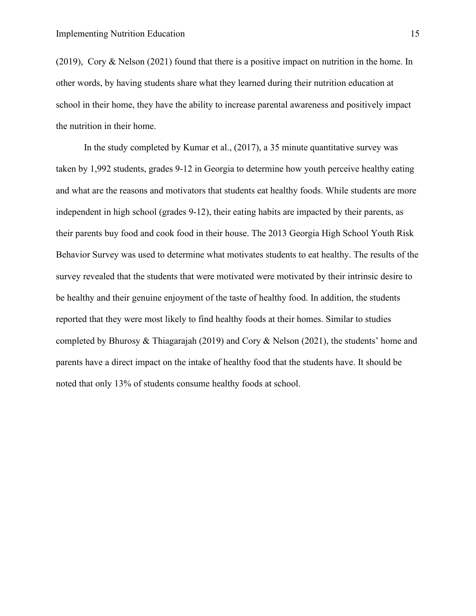(2019), Cory & Nelson (2021) found that there is a positive impact on nutrition in the home. In other words, by having students share what they learned during their nutrition education at school in their home, they have the ability to increase parental awareness and positively impact the nutrition in their home.

In the study completed by Kumar et al., (2017), a 35 minute quantitative survey was taken by 1,992 students, grades 9-12 in Georgia to determine how youth perceive healthy eating and what are the reasons and motivators that students eat healthy foods. While students are more independent in high school (grades 9-12), their eating habits are impacted by their parents, as their parents buy food and cook food in their house. The 2013 Georgia High School Youth Risk Behavior Survey was used to determine what motivates students to eat healthy. The results of the survey revealed that the students that were motivated were motivated by their intrinsic desire to be healthy and their genuine enjoyment of the taste of healthy food. In addition, the students reported that they were most likely to find healthy foods at their homes. Similar to studies completed by Bhurosy & Thiagarajah (2019) and Cory & Nelson (2021), the students' home and parents have a direct impact on the intake of healthy food that the students have. It should be noted that only 13% of students consume healthy foods at school.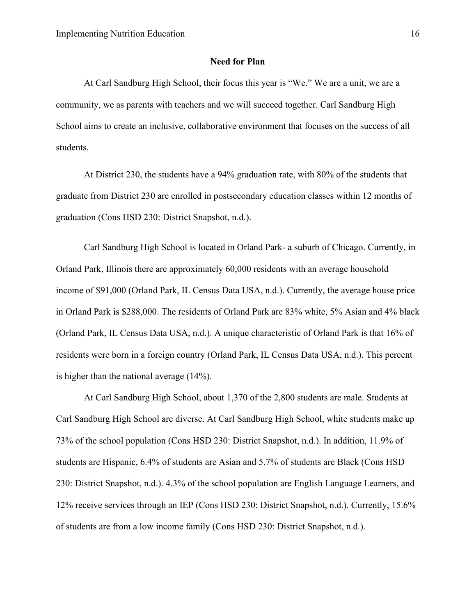#### **Need for Plan**

 At Carl Sandburg High School, their focus this year is "We." We are a unit, we are a community, we as parents with teachers and we will succeed together. Carl Sandburg High School aims to create an inclusive, collaborative environment that focuses on the success of all students.

At District 230, the students have a 94% graduation rate, with 80% of the students that graduate from District 230 are enrolled in postsecondary education classes within 12 months of graduation (Cons HSD 230: District Snapshot, n.d.).

Carl Sandburg High School is located in Orland Park- a suburb of Chicago. Currently, in Orland Park, Illinois there are approximately 60,000 residents with an average household income of \$91,000 (Orland Park, IL Census Data USA, n.d.). Currently, the average house price in Orland Park is \$288,000. The residents of Orland Park are 83% white, 5% Asian and 4% black (Orland Park, IL Census Data USA, n.d.). A unique characteristic of Orland Park is that 16% of residents were born in a foreign country (Orland Park, IL Census Data USA, n.d.). This percent is higher than the national average (14%).

At Carl Sandburg High School, about 1,370 of the 2,800 students are male. Students at Carl Sandburg High School are diverse. At Carl Sandburg High School, white students make up 73% of the school population (Cons HSD 230: District Snapshot, n.d.). In addition, 11.9% of students are Hispanic, 6.4% of students are Asian and 5.7% of students are Black (Cons HSD 230: District Snapshot, n.d.). 4.3% of the school population are English Language Learners, and 12% receive services through an IEP (Cons HSD 230: District Snapshot, n.d.). Currently, 15.6% of students are from a low income family (Cons HSD 230: District Snapshot, n.d.).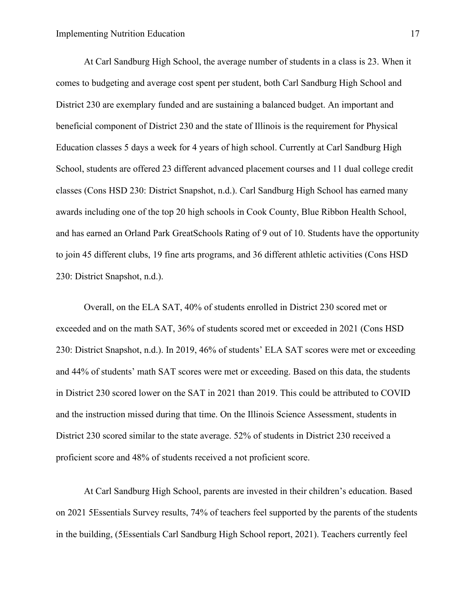At Carl Sandburg High School, the average number of students in a class is 23. When it comes to budgeting and average cost spent per student, both Carl Sandburg High School and District 230 are exemplary funded and are sustaining a balanced budget. An important and beneficial component of District 230 and the state of Illinois is the requirement for Physical Education classes 5 days a week for 4 years of high school. Currently at Carl Sandburg High School, students are offered 23 different advanced placement courses and 11 dual college credit classes (Cons HSD 230: District Snapshot, n.d.). Carl Sandburg High School has earned many awards including one of the top 20 high schools in Cook County, Blue Ribbon Health School, and has earned an Orland Park GreatSchools Rating of 9 out of 10. Students have the opportunity to join 45 different clubs, 19 fine arts programs, and 36 different athletic activities (Cons HSD 230: District Snapshot, n.d.).

Overall, on the ELA SAT, 40% of students enrolled in District 230 scored met or exceeded and on the math SAT, 36% of students scored met or exceeded in 2021 (Cons HSD 230: District Snapshot, n.d.). In 2019, 46% of students' ELA SAT scores were met or exceeding and 44% of students' math SAT scores were met or exceeding. Based on this data, the students in District 230 scored lower on the SAT in 2021 than 2019. This could be attributed to COVID and the instruction missed during that time. On the Illinois Science Assessment, students in District 230 scored similar to the state average. 52% of students in District 230 received a proficient score and 48% of students received a not proficient score.

 At Carl Sandburg High School, parents are invested in their children's education. Based on 2021 5Essentials Survey results, 74% of teachers feel supported by the parents of the students in the building, (5Essentials Carl Sandburg High School report, 2021). Teachers currently feel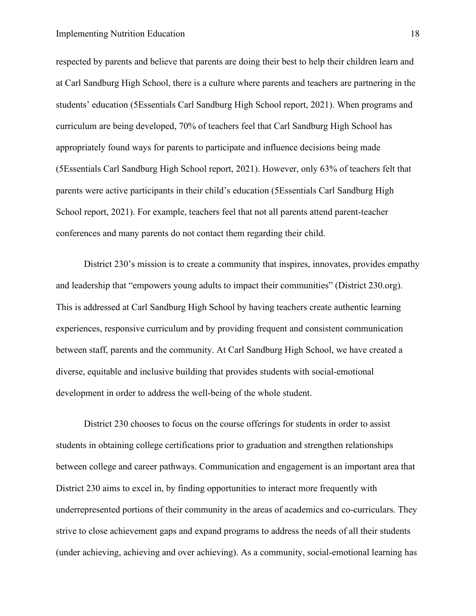respected by parents and believe that parents are doing their best to help their children learn and at Carl Sandburg High School, there is a culture where parents and teachers are partnering in the students' education (5Essentials Carl Sandburg High School report, 2021). When programs and curriculum are being developed, 70% of teachers feel that Carl Sandburg High School has appropriately found ways for parents to participate and influence decisions being made (5Essentials Carl Sandburg High School report, 2021). However, only 63% of teachers felt that parents were active participants in their child's education (5Essentials Carl Sandburg High School report, 2021). For example, teachers feel that not all parents attend parent-teacher conferences and many parents do not contact them regarding their child.

District 230's mission is to create a community that inspires, innovates, provides empathy and leadership that "empowers young adults to impact their communities" (District 230.org). This is addressed at Carl Sandburg High School by having teachers create authentic learning experiences, responsive curriculum and by providing frequent and consistent communication between staff, parents and the community. At Carl Sandburg High School, we have created a diverse, equitable and inclusive building that provides students with social-emotional development in order to address the well-being of the whole student.

District 230 chooses to focus on the course offerings for students in order to assist students in obtaining college certifications prior to graduation and strengthen relationships between college and career pathways. Communication and engagement is an important area that District 230 aims to excel in, by finding opportunities to interact more frequently with underrepresented portions of their community in the areas of academics and co-curriculars. They strive to close achievement gaps and expand programs to address the needs of all their students (under achieving, achieving and over achieving). As a community, social-emotional learning has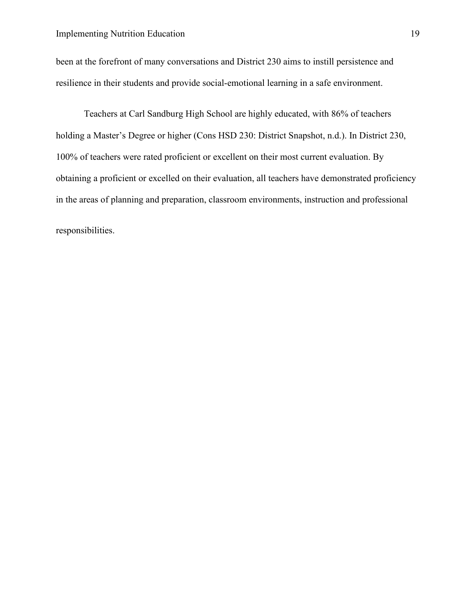been at the forefront of many conversations and District 230 aims to instill persistence and resilience in their students and provide social-emotional learning in a safe environment.

Teachers at Carl Sandburg High School are highly educated, with 86% of teachers holding a Master's Degree or higher (Cons HSD 230: District Snapshot, n.d.). In District 230, 100% of teachers were rated proficient or excellent on their most current evaluation. By obtaining a proficient or excelled on their evaluation, all teachers have demonstrated proficiency in the areas of planning and preparation, classroom environments, instruction and professional responsibilities.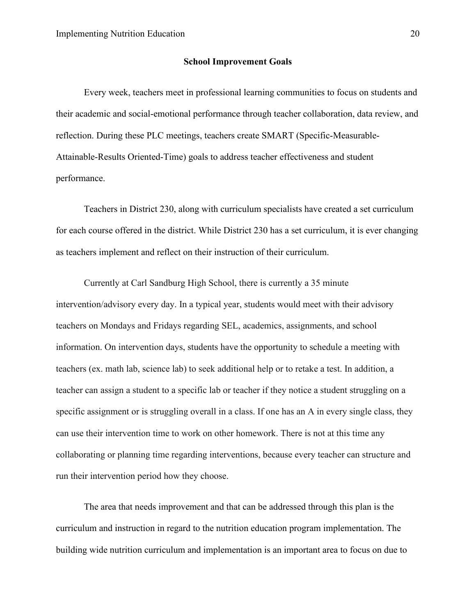#### **School Improvement Goals**

Every week, teachers meet in professional learning communities to focus on students and their academic and social-emotional performance through teacher collaboration, data review, and reflection. During these PLC meetings, teachers create SMART (Specific-Measurable-Attainable-Results Oriented-Time) goals to address teacher effectiveness and student performance.

Teachers in District 230, along with curriculum specialists have created a set curriculum for each course offered in the district. While District 230 has a set curriculum, it is ever changing as teachers implement and reflect on their instruction of their curriculum.

Currently at Carl Sandburg High School, there is currently a 35 minute intervention/advisory every day. In a typical year, students would meet with their advisory teachers on Mondays and Fridays regarding SEL, academics, assignments, and school information. On intervention days, students have the opportunity to schedule a meeting with teachers (ex. math lab, science lab) to seek additional help or to retake a test. In addition, a teacher can assign a student to a specific lab or teacher if they notice a student struggling on a specific assignment or is struggling overall in a class. If one has an A in every single class, they can use their intervention time to work on other homework. There is not at this time any collaborating or planning time regarding interventions, because every teacher can structure and run their intervention period how they choose.

The area that needs improvement and that can be addressed through this plan is the curriculum and instruction in regard to the nutrition education program implementation. The building wide nutrition curriculum and implementation is an important area to focus on due to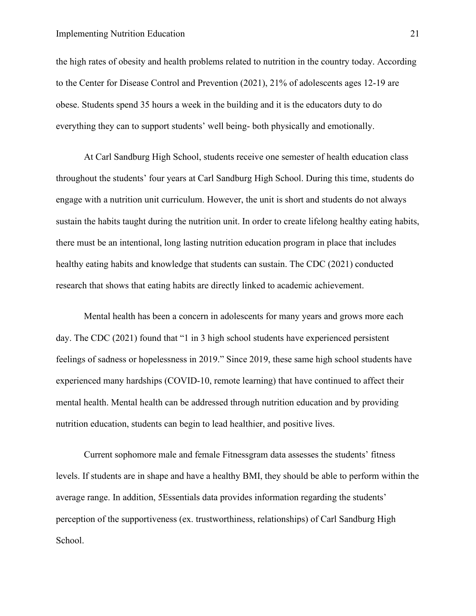#### Implementing Nutrition Education 21

the high rates of obesity and health problems related to nutrition in the country today. According to the Center for Disease Control and Prevention (2021), 21% of adolescents ages 12-19 are obese. Students spend 35 hours a week in the building and it is the educators duty to do everything they can to support students' well being- both physically and emotionally.

At Carl Sandburg High School, students receive one semester of health education class throughout the students' four years at Carl Sandburg High School. During this time, students do engage with a nutrition unit curriculum. However, the unit is short and students do not always sustain the habits taught during the nutrition unit. In order to create lifelong healthy eating habits, there must be an intentional, long lasting nutrition education program in place that includes healthy eating habits and knowledge that students can sustain. The CDC (2021) conducted research that shows that eating habits are directly linked to academic achievement.

Mental health has been a concern in adolescents for many years and grows more each day. The CDC (2021) found that "1 in 3 high school students have experienced persistent feelings of sadness or hopelessness in 2019." Since 2019, these same high school students have experienced many hardships (COVID-10, remote learning) that have continued to affect their mental health. Mental health can be addressed through nutrition education and by providing nutrition education, students can begin to lead healthier, and positive lives.

Current sophomore male and female Fitnessgram data assesses the students' fitness levels. If students are in shape and have a healthy BMI, they should be able to perform within the average range. In addition, 5Essentials data provides information regarding the students' perception of the supportiveness (ex. trustworthiness, relationships) of Carl Sandburg High School.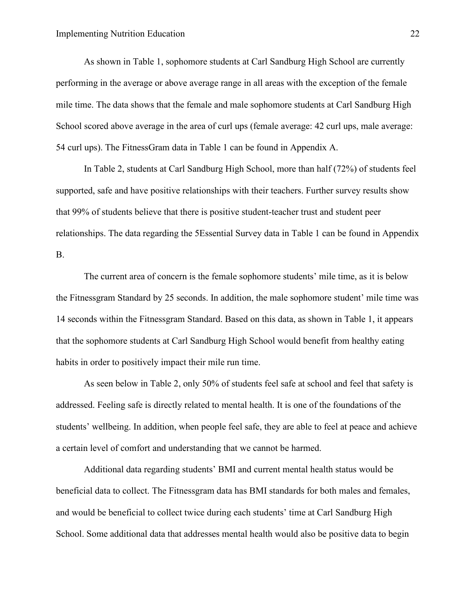As shown in Table 1, sophomore students at Carl Sandburg High School are currently performing in the average or above average range in all areas with the exception of the female mile time. The data shows that the female and male sophomore students at Carl Sandburg High School scored above average in the area of curl ups (female average: 42 curl ups, male average: 54 curl ups). The FitnessGram data in Table 1 can be found in Appendix A.

In Table 2, students at Carl Sandburg High School, more than half (72%) of students feel supported, safe and have positive relationships with their teachers. Further survey results show that 99% of students believe that there is positive student-teacher trust and student peer relationships. The data regarding the 5Essential Survey data in Table 1 can be found in Appendix B.

The current area of concern is the female sophomore students' mile time, as it is below the Fitnessgram Standard by 25 seconds. In addition, the male sophomore student' mile time was 14 seconds within the Fitnessgram Standard. Based on this data, as shown in Table 1, it appears that the sophomore students at Carl Sandburg High School would benefit from healthy eating habits in order to positively impact their mile run time.

As seen below in Table 2, only 50% of students feel safe at school and feel that safety is addressed. Feeling safe is directly related to mental health. It is one of the foundations of the students' wellbeing. In addition, when people feel safe, they are able to feel at peace and achieve a certain level of comfort and understanding that we cannot be harmed.

Additional data regarding students' BMI and current mental health status would be beneficial data to collect. The Fitnessgram data has BMI standards for both males and females, and would be beneficial to collect twice during each students' time at Carl Sandburg High School. Some additional data that addresses mental health would also be positive data to begin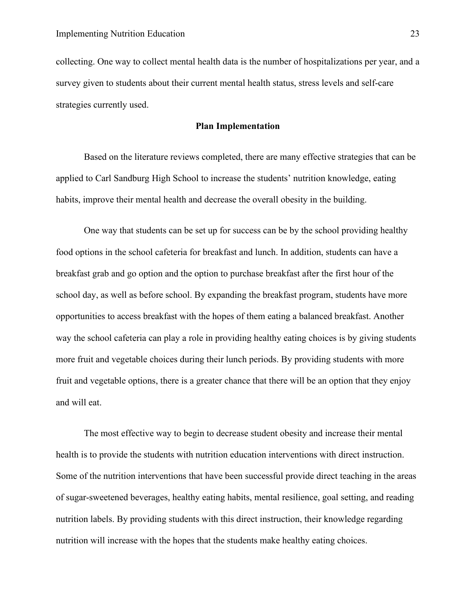collecting. One way to collect mental health data is the number of hospitalizations per year, and a survey given to students about their current mental health status, stress levels and self-care strategies currently used.

#### **Plan Implementation**

Based on the literature reviews completed, there are many effective strategies that can be applied to Carl Sandburg High School to increase the students' nutrition knowledge, eating habits, improve their mental health and decrease the overall obesity in the building.

One way that students can be set up for success can be by the school providing healthy food options in the school cafeteria for breakfast and lunch. In addition, students can have a breakfast grab and go option and the option to purchase breakfast after the first hour of the school day, as well as before school. By expanding the breakfast program, students have more opportunities to access breakfast with the hopes of them eating a balanced breakfast. Another way the school cafeteria can play a role in providing healthy eating choices is by giving students more fruit and vegetable choices during their lunch periods. By providing students with more fruit and vegetable options, there is a greater chance that there will be an option that they enjoy and will eat.

The most effective way to begin to decrease student obesity and increase their mental health is to provide the students with nutrition education interventions with direct instruction. Some of the nutrition interventions that have been successful provide direct teaching in the areas of sugar-sweetened beverages, healthy eating habits, mental resilience, goal setting, and reading nutrition labels. By providing students with this direct instruction, their knowledge regarding nutrition will increase with the hopes that the students make healthy eating choices.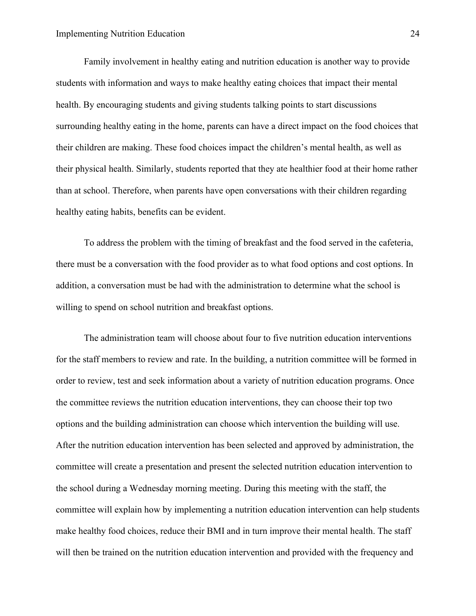Family involvement in healthy eating and nutrition education is another way to provide students with information and ways to make healthy eating choices that impact their mental health. By encouraging students and giving students talking points to start discussions surrounding healthy eating in the home, parents can have a direct impact on the food choices that their children are making. These food choices impact the children's mental health, as well as their physical health. Similarly, students reported that they ate healthier food at their home rather than at school. Therefore, when parents have open conversations with their children regarding healthy eating habits, benefits can be evident.

 To address the problem with the timing of breakfast and the food served in the cafeteria, there must be a conversation with the food provider as to what food options and cost options. In addition, a conversation must be had with the administration to determine what the school is willing to spend on school nutrition and breakfast options.

 The administration team will choose about four to five nutrition education interventions for the staff members to review and rate. In the building, a nutrition committee will be formed in order to review, test and seek information about a variety of nutrition education programs. Once the committee reviews the nutrition education interventions, they can choose their top two options and the building administration can choose which intervention the building will use. After the nutrition education intervention has been selected and approved by administration, the committee will create a presentation and present the selected nutrition education intervention to the school during a Wednesday morning meeting. During this meeting with the staff, the committee will explain how by implementing a nutrition education intervention can help students make healthy food choices, reduce their BMI and in turn improve their mental health. The staff will then be trained on the nutrition education intervention and provided with the frequency and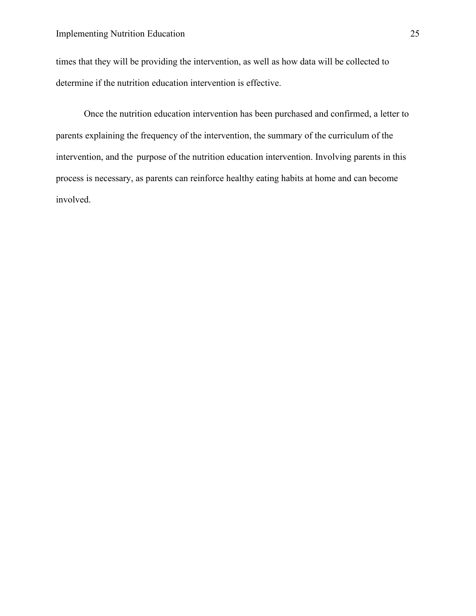times that they will be providing the intervention, as well as how data will be collected to determine if the nutrition education intervention is effective.

 Once the nutrition education intervention has been purchased and confirmed, a letter to parents explaining the frequency of the intervention, the summary of the curriculum of the intervention, and the purpose of the nutrition education intervention. Involving parents in this process is necessary, as parents can reinforce healthy eating habits at home and can become involved.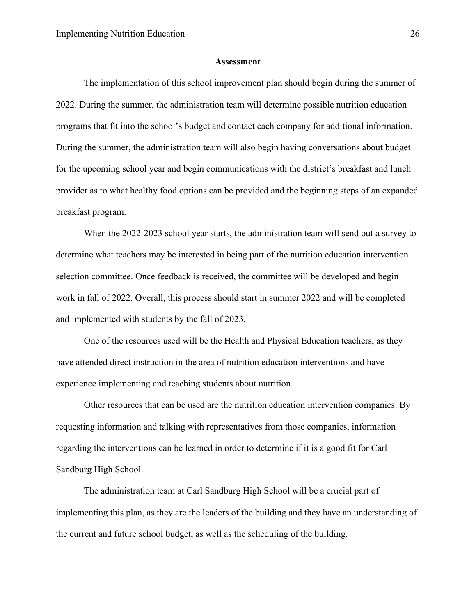#### **Assessment**

<span id="page-26-0"></span>The implementation of this school improvement plan should begin during the summer of 2022. During the summer, the administration team will determine possible nutrition education programs that fit into the school's budget and contact each company for additional information. During the summer, the administration team will also begin having conversations about budget for the upcoming school year and begin communications with the district's breakfast and lunch provider as to what healthy food options can be provided and the beginning steps of an expanded breakfast program.

When the 2022-2023 school year starts, the administration team will send out a survey to determine what teachers may be interested in being part of the nutrition education intervention selection committee. Once feedback is received, the committee will be developed and begin work in fall of 2022. Overall, this process should start in summer 2022 and will be completed and implemented with students by the fall of 2023.

One of the resources used will be the Health and Physical Education teachers, as they have attended direct instruction in the area of nutrition education interventions and have experience implementing and teaching students about nutrition.

Other resources that can be used are the nutrition education intervention companies. By requesting information and talking with representatives from those companies, information regarding the interventions can be learned in order to determine if it is a good fit for Carl Sandburg High School.

The administration team at Carl Sandburg High School will be a crucial part of implementing this plan, as they are the leaders of the building and they have an understanding of the current and future school budget, as well as the scheduling of the building.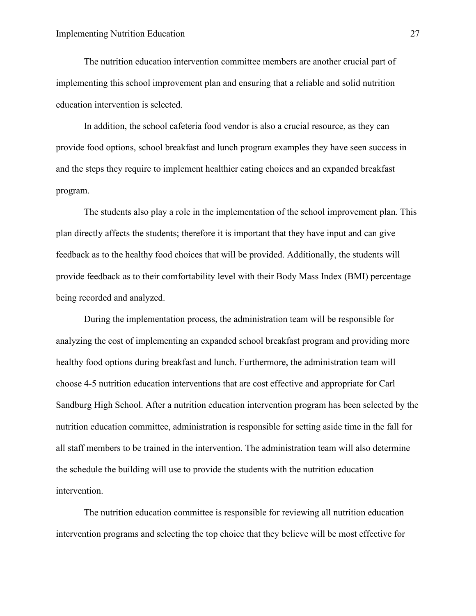The nutrition education intervention committee members are another crucial part of implementing this school improvement plan and ensuring that a reliable and solid nutrition education intervention is selected.

In addition, the school cafeteria food vendor is also a crucial resource, as they can provide food options, school breakfast and lunch program examples they have seen success in and the steps they require to implement healthier eating choices and an expanded breakfast program.

The students also play a role in the implementation of the school improvement plan. This plan directly affects the students; therefore it is important that they have input and can give feedback as to the healthy food choices that will be provided. Additionally, the students will provide feedback as to their comfortability level with their Body Mass Index (BMI) percentage being recorded and analyzed.

During the implementation process, the administration team will be responsible for analyzing the cost of implementing an expanded school breakfast program and providing more healthy food options during breakfast and lunch. Furthermore, the administration team will choose 4-5 nutrition education interventions that are cost effective and appropriate for Carl Sandburg High School. After a nutrition education intervention program has been selected by the nutrition education committee, administration is responsible for setting aside time in the fall for all staff members to be trained in the intervention. The administration team will also determine the schedule the building will use to provide the students with the nutrition education intervention.

The nutrition education committee is responsible for reviewing all nutrition education intervention programs and selecting the top choice that they believe will be most effective for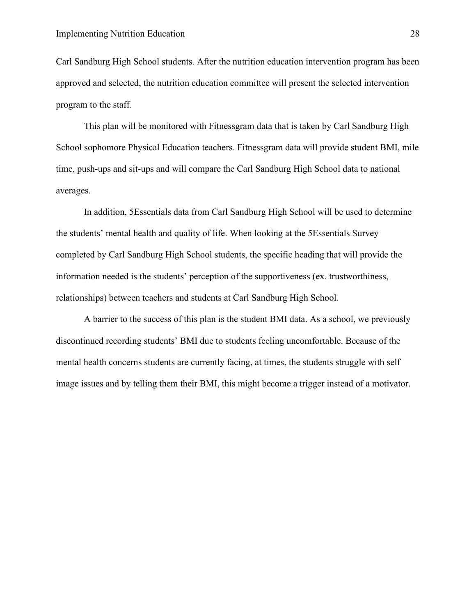Carl Sandburg High School students. After the nutrition education intervention program has been approved and selected, the nutrition education committee will present the selected intervention program to the staff.

This plan will be monitored with Fitnessgram data that is taken by Carl Sandburg High School sophomore Physical Education teachers. Fitnessgram data will provide student BMI, mile time, push-ups and sit-ups and will compare the Carl Sandburg High School data to national averages.

In addition, 5Essentials data from Carl Sandburg High School will be used to determine the students' mental health and quality of life. When looking at the 5Essentials Survey completed by Carl Sandburg High School students, the specific heading that will provide the information needed is the students' perception of the supportiveness (ex. trustworthiness, relationships) between teachers and students at Carl Sandburg High School.

A barrier to the success of this plan is the student BMI data. As a school, we previously discontinued recording students' BMI due to students feeling uncomfortable. Because of the mental health concerns students are currently facing, at times, the students struggle with self image issues and by telling them their BMI, this might become a trigger instead of a motivator.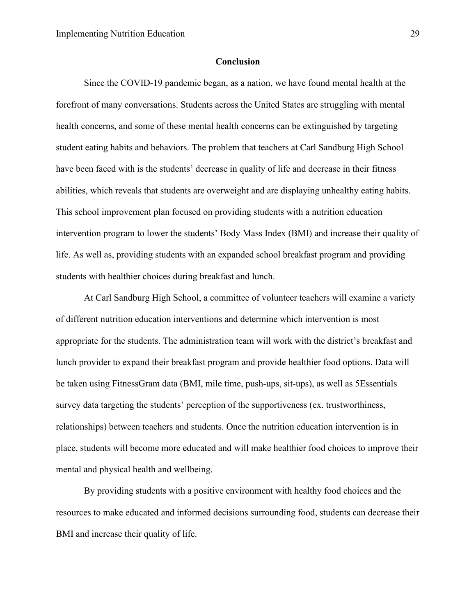#### **Conclusion**

<span id="page-29-0"></span>Since the COVID-19 pandemic began, as a nation, we have found mental health at the forefront of many conversations. Students across the United States are struggling with mental health concerns, and some of these mental health concerns can be extinguished by targeting student eating habits and behaviors. The problem that teachers at Carl Sandburg High School have been faced with is the students' decrease in quality of life and decrease in their fitness abilities, which reveals that students are overweight and are displaying unhealthy eating habits. This school improvement plan focused on providing students with a nutrition education intervention program to lower the students' Body Mass Index (BMI) and increase their quality of life. As well as, providing students with an expanded school breakfast program and providing students with healthier choices during breakfast and lunch.

At Carl Sandburg High School, a committee of volunteer teachers will examine a variety of different nutrition education interventions and determine which intervention is most appropriate for the students. The administration team will work with the district's breakfast and lunch provider to expand their breakfast program and provide healthier food options. Data will be taken using FitnessGram data (BMI, mile time, push-ups, sit-ups), as well as 5Essentials survey data targeting the students' perception of the supportiveness (ex. trustworthiness, relationships) between teachers and students. Once the nutrition education intervention is in place, students will become more educated and will make healthier food choices to improve their mental and physical health and wellbeing.

By providing students with a positive environment with healthy food choices and the resources to make educated and informed decisions surrounding food, students can decrease their BMI and increase their quality of life.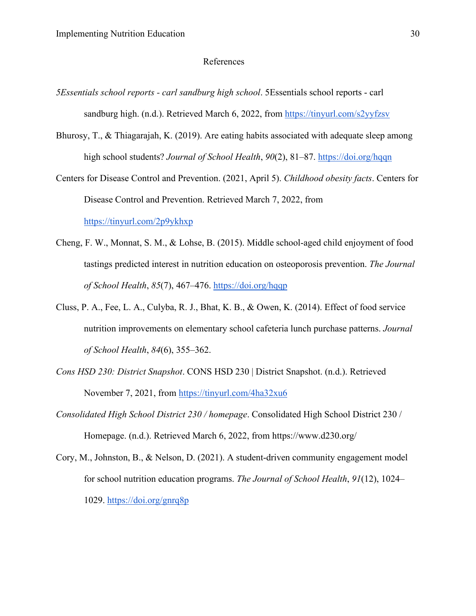#### References

- <span id="page-30-0"></span>*5Essentials school reports - carl sandburg high school*. 5Essentials school reports - carl sandburg high. (n.d.). Retrieved March 6, 2022, from https://tinyurl.com/s2yyfzsv
- Bhurosy, T., & Thiagarajah, K. (2019). Are eating habits associated with adequate sleep among high school students? *Journal of School Health*, *90*(2), 81–87.<https://doi.org/hqqn>
- Centers for Disease Control and Prevention. (2021, April 5). *Childhood obesity facts*. Centers for Disease Control and Prevention. Retrieved March 7, 2022, from

<https://tinyurl.com/2p9ykhxp>

- Cheng, F. W., Monnat, S. M., & Lohse, B. (2015). Middle school-aged child enjoyment of food tastings predicted interest in nutrition education on osteoporosis prevention. *The Journal of School Health*, *85*(7), 467–476.<https://doi.org/hqqp>
- Cluss, P. A., Fee, L. A., Culyba, R. J., Bhat, K. B., & Owen, K. (2014). Effect of food service nutrition improvements on elementary school cafeteria lunch purchase patterns. *Journal of School Health*, *84*(6), 355–362.
- *Cons HSD 230: District Snapshot*. CONS HSD 230 | District Snapshot. (n.d.). Retrieved November 7, 2021, from<https://tinyurl.com/4ha32xu6>
- *Consolidated High School District 230 / homepage*. Consolidated High School District 230 / Homepage. (n.d.). Retrieved March 6, 2022, from https://www.d230.org/
- Cory, M., Johnston, B., & Nelson, D. (2021). A student‐driven community engagement model for school nutrition education programs. *The Journal of School Health*, *91*(12), 1024– 1029.<https://doi.org/gnrq8p>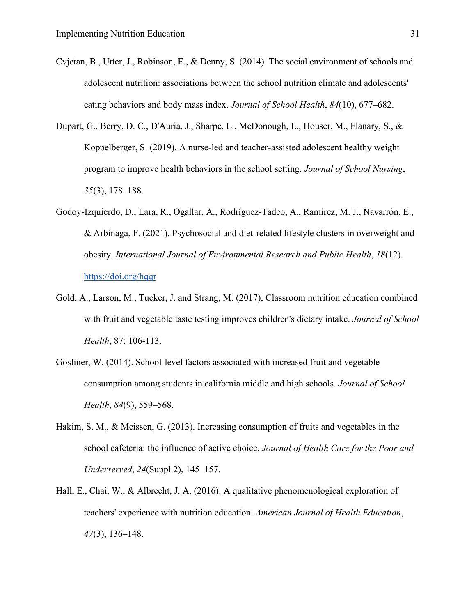- Cvjetan, B., Utter, J., Robinson, E., & Denny, S. (2014). The social environment of schools and adolescent nutrition: associations between the school nutrition climate and adolescents' eating behaviors and body mass index. *Journal of School Health*, *84*(10), 677–682.
- Dupart, G., Berry, D. C., D'Auria, J., Sharpe, L., McDonough, L., Houser, M., Flanary, S., & Koppelberger, S. (2019). A nurse-led and teacher-assisted adolescent healthy weight program to improve health behaviors in the school setting. *Journal of School Nursing*, *35*(3), 178–188.
- Godoy-Izquierdo, D., Lara, R., Ogallar, A., Rodríguez-Tadeo, A., Ramírez, M. J., Navarrón, E., & Arbinaga, F. (2021). Psychosocial and diet-related lifestyle clusters in overweight and obesity. *International Journal of Environmental Research and Public Health*, *18*(12). <https://doi.org/hqqr>
- Gold, A., Larson, M., Tucker, J. and Strang, M. (2017), Classroom nutrition education combined with fruit and vegetable taste testing improves children's dietary intake. *Journal of School Health*, 87: 106-113.
- Gosliner, W. (2014). School-level factors associated with increased fruit and vegetable consumption among students in california middle and high schools. *Journal of School Health*, *84*(9), 559–568.
- Hakim, S. M., & Meissen, G. (2013). Increasing consumption of fruits and vegetables in the school cafeteria: the influence of active choice. *Journal of Health Care for the Poor and Underserved*, *24*(Suppl 2), 145–157.
- Hall, E., Chai, W., & Albrecht, J. A. (2016). A qualitative phenomenological exploration of teachers' experience with nutrition education. *American Journal of Health Education*, *47*(3), 136–148.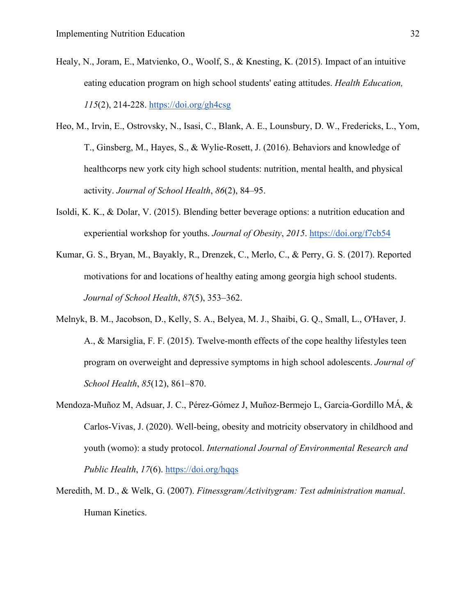- Healy, N., Joram, E., Matvienko, O., Woolf, S., & Knesting, K. (2015). Impact of an intuitive eating education program on high school students' eating attitudes. *Health Education, 115*(2), 214-228.<https://doi.org/gh4csg>
- Heo, M., Irvin, E., Ostrovsky, N., Isasi, C., Blank, A. E., Lounsbury, D. W., Fredericks, L., Yom, T., Ginsberg, M., Hayes, S., & Wylie-Rosett, J. (2016). Behaviors and knowledge of healthcorps new york city high school students: nutrition, mental health, and physical activity. *Journal of School Health*, *86*(2), 84–95.
- Isoldi, K. K., & Dolar, V. (2015). Blending better beverage options: a nutrition education and experiential workshop for youths. *Journal of Obesity*, *2015*.<https://doi.org/f7cb54>
- Kumar, G. S., Bryan, M., Bayakly, R., Drenzek, C., Merlo, C., & Perry, G. S. (2017). Reported motivations for and locations of healthy eating among georgia high school students. *Journal of School Health*, *87*(5), 353–362.
- Melnyk, B. M., Jacobson, D., Kelly, S. A., Belyea, M. J., Shaibi, G. Q., Small, L., O'Haver, J. A., & Marsiglia, F. F. (2015). Twelve-month effects of the cope healthy lifestyles teen program on overweight and depressive symptoms in high school adolescents. *Journal of School Health*, *85*(12), 861–870.
- Mendoza-Muñoz M, Adsuar, J. C., Pérez-Gómez J, Muñoz-Bermejo L, Garcia-Gordillo MÁ, & Carlos-Vivas, J. (2020). Well-being, obesity and motricity observatory in childhood and youth (womo): a study protocol. *International Journal of Environmental Research and Public Health*, *17*(6).<https://doi.org/hqqs>
- Meredith, M. D., & Welk, G. (2007). *Fitnessgram/Activitygram: Test administration manual*. Human Kinetics.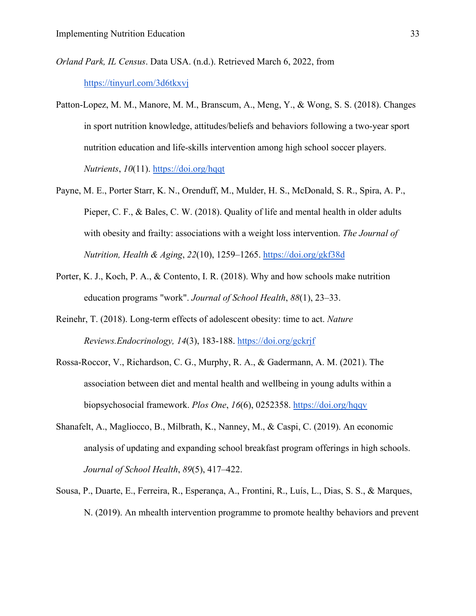- *Orland Park, IL Census*. Data USA. (n.d.). Retrieved March 6, 2022, from <https://tinyurl.com/3d6tkxvj>
- Patton-Lopez, M. M., Manore, M. M., Branscum, A., Meng, Y., & Wong, S. S. (2018). Changes in sport nutrition knowledge, attitudes/beliefs and behaviors following a two-year sport nutrition education and life-skills intervention among high school soccer players. *Nutrients*, *10*(11).<https://doi.org/hqqt>
- Payne, M. E., Porter Starr, K. N., Orenduff, M., Mulder, H. S., McDonald, S. R., Spira, A. P., Pieper, C. F., & Bales, C. W. (2018). Quality of life and mental health in older adults with obesity and frailty: associations with a weight loss intervention. *The Journal of Nutrition, Health & Aging*, *22*(10), 1259–1265.<https://doi.org/gkf38d>
- Porter, K. J., Koch, P. A., & Contento, I. R. (2018). Why and how schools make nutrition education programs "work". *Journal of School Health*, *88*(1), 23–33.
- Reinehr, T. (2018). Long-term effects of adolescent obesity: time to act. *Nature Reviews.Endocrinology, 14*(3), 183-188.<https://doi.org/gckrjf>
- Rossa-Roccor, V., Richardson, C. G., Murphy, R. A., & Gadermann, A. M. (2021). The association between diet and mental health and wellbeing in young adults within a biopsychosocial framework. *Plos One*, *16*(6), 0252358.<https://doi.org/hqqv>
- Shanafelt, A., Magliocco, B., Milbrath, K., Nanney, M., & Caspi, C. (2019). An economic analysis of updating and expanding school breakfast program offerings in high schools. *Journal of School Health*, *89*(5), 417–422.
- Sousa, P., Duarte, E., Ferreira, R., Esperança, A., Frontini, R., Luís, L., Dias, S. S., & Marques, N. (2019). An mhealth intervention programme to promote healthy behaviors and prevent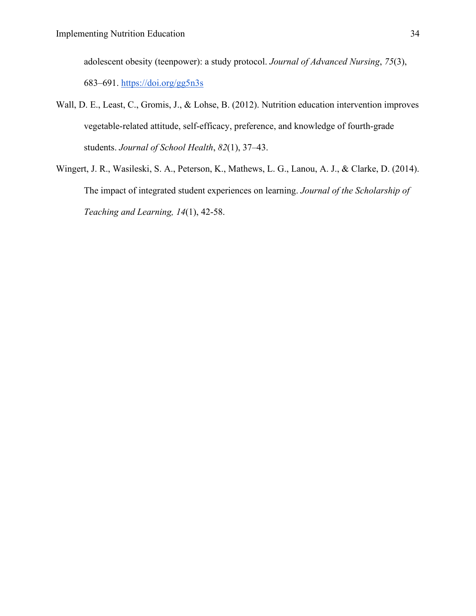adolescent obesity (teenpower): a study protocol. *Journal of Advanced Nursing*, *75*(3), 683–691.<https://doi.org/gg5n3s>

- Wall, D. E., Least, C., Gromis, J., & Lohse, B. (2012). Nutrition education intervention improves vegetable-related attitude, self-efficacy, preference, and knowledge of fourth-grade students. *Journal of School Health*, *82*(1), 37–43.
- Wingert, J. R., Wasileski, S. A., Peterson, K., Mathews, L. G., Lanou, A. J., & Clarke, D. (2014). The impact of integrated student experiences on learning. *Journal of the Scholarship of Teaching and Learning, 14*(1), 42-58.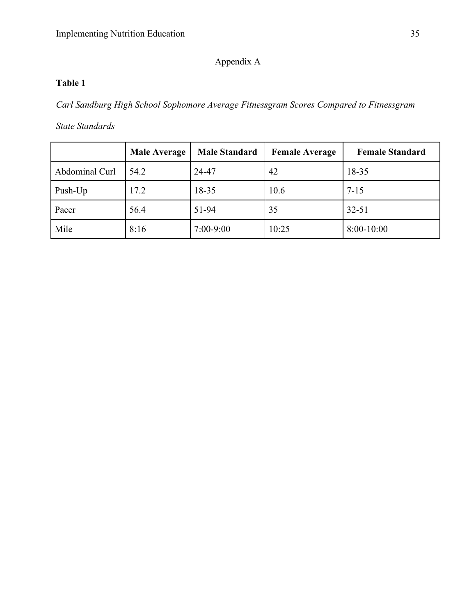### Appendix A

### **Table 1**

*Carl Sandburg High School Sophomore Average Fitnessgram Scores Compared to Fitnessgram* 

*State Standards*

|                | <b>Male Average</b> | <b>Male Standard</b> | <b>Female Average</b> | <b>Female Standard</b> |
|----------------|---------------------|----------------------|-----------------------|------------------------|
| Abdominal Curl | 54.2                | 24-47                | 42                    | 18-35                  |
| Push-Up        | 17.2                | 18-35                | 10.6                  | $7 - 15$               |
| Pacer          | 56.4                | 51-94                | 35                    | $32 - 51$              |
| Mile           | 8:16                | $7:00-9:00$          | 10:25                 | 8:00-10:00             |